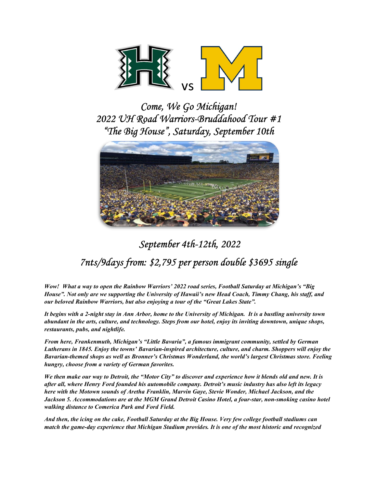

Come, We Go Michigan! 2022 UH Road Warriors-Bruddahood Tour #1 "The Big House", Saturday, September 10th



# September 4th-12th, 2022

# 7nts/9days from: \$2,795 per person double \$3695 single

Wow! What a way to open the Rainbow Warriors' 2022 road series, Football Saturday at Michigan's "Big House". Not only are we supporting the University of Hawaii's new Head Coach, Timmy Chang, his staff, and our beloved Rainbow Warriors, but also enjoying a tour of the "Great Lakes State".

It begins with a 2-night stay in Ann Arbor, home to the University of Michigan. It is a bustling university town abundant in the arts, culture, and technology. Steps from our hotel, enjoy its inviting downtown, unique shops, restaurants, pubs, and nightlife.

From here, Frankenmuth, Michigan's "Little Bavaria", a famous immigrant community, settled by German Lutherans in 1845. Enjoy the towns' Bavarian-inspired architecture, culture, and charm. Shoppers will enjoy the Bavarian-themed shops as well as Bronner's Christmas Wonderland, the world's largest Christmas store. Feeling hungry, choose from a variety of German favorites.

We then make our way to Detroit, the "Motor City" to discover and experience how it blends old and new. It is after all, where Henry Ford founded his automobile company. Detroit's music industry has also left its legacy here with the Motown sounds of Aretha Franklin, Marvin Gaye, Stevie Wonder, Michael Jackson, and the Jackson 5. Accommodations are at the MGM Grand Detroit Casino Hotel, a four-star, non-smoking casino hotel walking distance to Comerica Park and Ford Field.

And then, the icing on the cake, Football Saturday at the Big House. Very few college football stadiums can match the game-day experience that Michigan Stadium provides. It is one of the most historic and recognized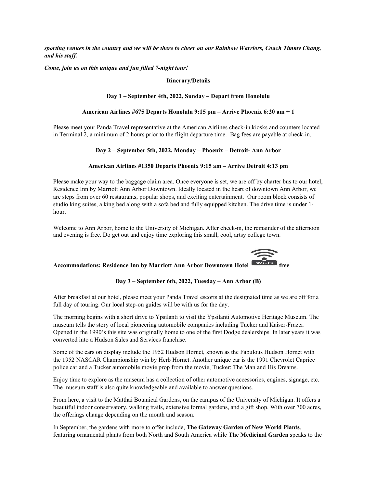sporting venues in the country and we will be there to cheer on our Rainbow Warriors, Coach Timmy Chang, and his staff.

Come, join us on this unique and fun filled 7-night tour!

### Itinerary/Details

### Day 1 – September 4th, 2022, Sunday – Depart from Honolulu

### American Airlines #675 Departs Honolulu 9:15 pm – Arrive Phoenix 6:20 am + 1

Please meet your Panda Travel representative at the American Airlines check-in kiosks and counters located in Terminal 2, a minimum of 2 hours prior to the flight departure time. Bag fees are payable at check-in.

### Day 2 – September 5th, 2022, Monday – Phoenix – Detroit- Ann Arbor

### American Airlines #1350 Departs Phoenix 9:15 am – Arrive Detroit 4:13 pm

Please make your way to the baggage claim area. Once everyone is set, we are off by charter bus to our hotel, Residence Inn by Marriott Ann Arbor Downtown. Ideally located in the heart of downtown Ann Arbor, we are steps from over 60 restaurants, popular shops, and exciting entertainment. Our room block consists of studio king suites, a king bed along with a sofa bed and fully equipped kitchen. The drive time is under 1 hour.

Welcome to Ann Arbor, home to the University of Michigan. After check-in, the remainder of the afternoon and evening is free. Do get out and enjoy time exploring this small, cool, artsy college town.



### Accommodations: Residence Inn by Marriott Ann Arbor Downtown Hotel

### Day 3 – September 6th, 2022, Tuesday – Ann Arbor (B)

After breakfast at our hotel, please meet your Panda Travel escorts at the designated time as we are off for a full day of touring. Our local step-on guides will be with us for the day.

The morning begins with a short drive to Ypsilanti to visit the Ypsilanti Automotive Heritage Museum. The museum tells the story of local pioneering automobile companies including Tucker and Kaiser-Frazer. Opened in the 1990's this site was originally home to one of the first Dodge dealerships. In later years it was converted into a Hudson Sales and Services franchise.

Some of the cars on display include the 1952 Hudson Hornet, known as the Fabulous Hudson Hornet with the 1952 NASCAR Championship win by Herb Hornet. Another unique car is the 1991 Chevrolet Caprice police car and a Tucker automobile movie prop from the movie, Tucker: The Man and His Dreams.

Enjoy time to explore as the museum has a collection of other automotive accessories, engines, signage, etc. The museum staff is also quite knowledgeable and available to answer questions.

From here, a visit to the Matthai Botanical Gardens, on the campus of the University of Michigan. It offers a beautiful indoor conservatory, walking trails, extensive formal gardens, and a gift shop. With over 700 acres, the offerings change depending on the month and season.

In September, the gardens with more to offer include, The Gateway Garden of New World Plants, featuring ornamental plants from both North and South America while The Medicinal Garden speaks to the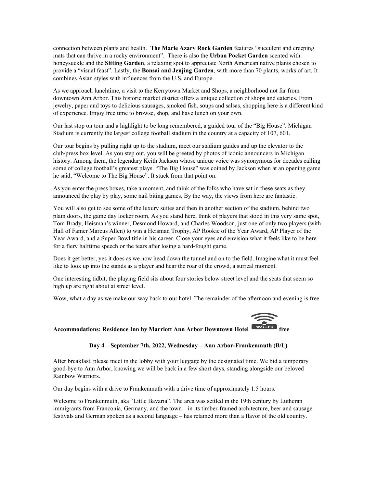connection between plants and health. The Marie Azary Rock Garden features "succulent and creeping mats that can thrive in a rocky environment". There is also the Urban Pocket Garden scented with honeysuckle and the Sitting Garden, a relaxing spot to appreciate North American native plants chosen to provide a "visual feast". Lastly, the Bonsai and Jenjing Garden, with more than 70 plants, works of art. It combines Asian styles with influences from the U.S. and Europe.

As we approach lunchtime, a visit to the Kerrytown Market and Shops, a neighborhood not far from downtown Ann Arbor. This historic market district offers a unique collection of shops and eateries. From jewelry, paper and toys to delicious sausages, smoked fish, soups and salsas, shopping here is a different kind of experience. Enjoy free time to browse, shop, and have lunch on your own.

Our last stop on tour and a highlight to be long remembered, a guided tour of the "Big House". Michigan Stadium is currently the largest college football stadium in the country at a capacity of 107, 601.

Our tour begins by pulling right up to the stadium, meet our stadium guides and up the elevator to the club/press box level. As you step out, you will be greeted by photos of iconic announcers in Michigan history. Among them, the legendary Keith Jackson whose unique voice was synonymous for decades calling some of college football's greatest plays. "The Big House" was coined by Jackson when at an opening game he said, "Welcome to The Big House". It stuck from that point on.

As you enter the press boxes, take a moment, and think of the folks who have sat in these seats as they announced the play by play, some nail biting games. By the way, the views from here are fantastic.

You will also get to see some of the luxury suites and then in another section of the stadium, behind two plain doors, the game day locker room. As you stand here, think of players that stood in this very same spot, Tom Brady, Heisman's winner, Desmond Howard, and Charles Woodson, just one of only two players (with Hall of Famer Marcus Allen) to win a Heisman Trophy, AP Rookie of the Year Award, AP Player of the Year Award, and a Super Bowl title in his career. Close your eyes and envision what it feels like to be here for a fiery halftime speech or the tears after losing a hard-fought game.

Does it get better, yes it does as we now head down the tunnel and on to the field. Imagine what it must feel like to look up into the stands as a player and hear the roar of the crowd, a surreal moment.

One interesting tidbit, the playing field sits about four stories below street level and the seats that seem so high up are right about at street level.

Wow, what a day as we make our way back to our hotel. The remainder of the afternoon and evening is free.



### Day 4 – September 7th, 2022, Wednesday – Ann Arbor-Frankenmuth (B/L)

After breakfast, please meet in the lobby with your luggage by the designated time. We bid a temporary good-bye to Ann Arbor, knowing we will be back in a few short days, standing alongside our beloved Rainbow Warriors.

Our day begins with a drive to Frankenmuth with a drive time of approximately 1.5 hours.

Welcome to Frankenmuth, aka "Little Bavaria". The area was settled in the 19th century by Lutheran immigrants from Franconia, Germany, and the town – in its timber-framed architecture, beer and sausage festivals and German spoken as a second language – has retained more than a flavor of the old country.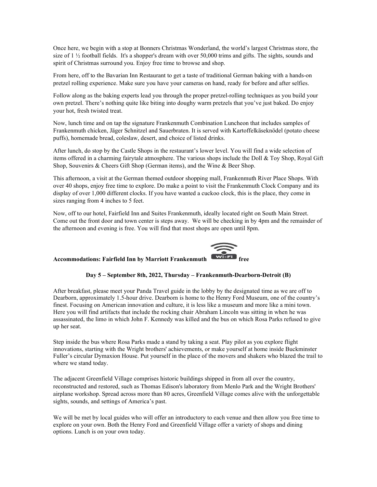Once here, we begin with a stop at Bonners Christmas Wonderland, the world's largest Christmas store, the size of 1 ½ football fields. It's a shopper's dream with over 50,000 trims and gifts. The sights, sounds and spirit of Christmas surround you. Enjoy free time to browse and shop.

From here, off to the Bavarian Inn Restaurant to get a taste of traditional German baking with a hands-on pretzel rolling experience. Make sure you have your cameras on hand, ready for before and after selfies.

Follow along as the baking experts lead you through the proper pretzel-rolling techniques as you build your own pretzel. There's nothing quite like biting into doughy warm pretzels that you've just baked. Do enjoy your hot, fresh twisted treat.

Now, lunch time and on tap the signature Frankenmuth Combination Luncheon that includes samples of Frankenmuth chicken, Jäger Schnitzel and Sauerbraten. It is served with Kartoffelkäseknödel (potato cheese puffs), homemade bread, coleslaw, desert, and choice of listed drinks.

After lunch, do stop by the Castle Shops in the restaurant's lower level. You will find a wide selection of items offered in a charming fairytale atmosphere. The various shops include the Doll & Toy Shop, Royal Gift Shop, Souvenirs & Cheers Gift Shop (German items), and the Wine & Beer Shop.

This afternoon, a visit at the German themed outdoor shopping mall, Frankenmuth River Place Shops. With over 40 shops, enjoy free time to explore. Do make a point to visit the Frankenmuth Clock Company and its display of over 1,000 different clocks. If you have wanted a cuckoo clock, this is the place, they come in sizes ranging from 4 inches to 5 feet.

Now, off to our hotel, Fairfield Inn and Suites Frankenmuth, ideally located right on South Main Street. Come out the front door and town center is steps away. We will be checking in by 4pm and the remainder of the afternoon and evening is free. You will find that most shops are open until 8pm.



# Accommodations: Fairfield Inn by Marriott Frankenmuth

### Day 5 – September 8th, 2022, Thursday – Frankenmuth-Dearborn-Detroit (B)

After breakfast, please meet your Panda Travel guide in the lobby by the designated time as we are off to Dearborn, approximately 1.5-hour drive. Dearborn is home to the Henry Ford Museum, one of the country's finest. Focusing on American innovation and culture, it is less like a museum and more like a mini town. Here you will find artifacts that include the rocking chair Abraham Lincoln was sitting in when he was assassinated, the limo in which John F. Kennedy was killed and the bus on which Rosa Parks refused to give up her seat.

Step inside the bus where Rosa Parks made a stand by taking a seat. Play pilot as you explore flight innovations, starting with the Wright brothers' achievements, or make yourself at home inside Buckminster Fuller's circular Dymaxion House. Put yourself in the place of the movers and shakers who blazed the trail to where we stand today.

The adjacent Greenfield Village comprises historic buildings shipped in from all over the country, reconstructed and restored, such as Thomas Edison's laboratory from Menlo Park and the Wright Brothers' airplane workshop. Spread across more than 80 acres, Greenfield Village comes alive with the unforgettable sights, sounds, and settings of America's past.

We will be met by local guides who will offer an introductory to each venue and then allow you free time to explore on your own. Both the Henry Ford and Greenfield Village offer a variety of shops and dining options. Lunch is on your own today.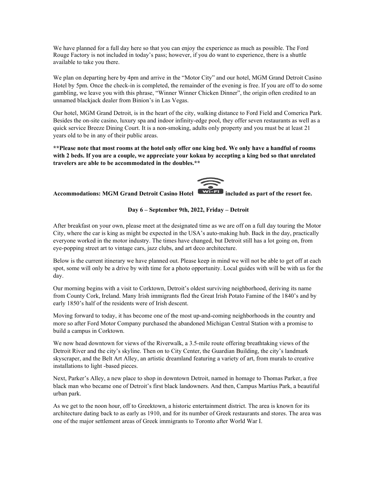We have planned for a full day here so that you can enjoy the experience as much as possible. The Ford Rouge Factory is not included in today's pass; however, if you do want to experience, there is a shuttle available to take you there.

We plan on departing here by 4pm and arrive in the "Motor City" and our hotel, MGM Grand Detroit Casino Hotel by 5pm. Once the check-in is completed, the remainder of the evening is free. If you are off to do some gambling, we leave you with this phrase, "Winner Winner Chicken Dinner", the origin often credited to an unnamed blackjack dealer from Binion's in Las Vegas.

Our hotel, MGM Grand Detroit, is in the heart of the city, walking distance to Ford Field and Comerica Park. Besides the on-site casino, luxury spa and indoor infinity-edge pool, they offer seven restaurants as well as a quick service Breeze Dining Court. It is a non-smoking, adults only property and you must be at least 21 years old to be in any of their public areas.

\*\*Please note that most rooms at the hotel only offer one king bed. We only have a handful of rooms with 2 beds. If you are a couple, we appreciate your kokua by accepting a king bed so that unrelated travelers are able to be accommodated in the doubles.\*\*

## Accommodations: MGM Grand Detroit Casino Hotel  $\overline{W^{i}}$  included as part of the resort fee.



### Day 6 – September 9th, 2022, Friday – Detroit

After breakfast on your own, please meet at the designated time as we are off on a full day touring the Motor City, where the car is king as might be expected in the USA's auto-making hub. Back in the day, practically everyone worked in the motor industry. The times have changed, but Detroit still has a lot going on, from eye-popping street art to vintage cars, jazz clubs, and art deco architecture.

Below is the current itinerary we have planned out. Please keep in mind we will not be able to get off at each spot, some will only be a drive by with time for a photo opportunity. Local guides with will be with us for the day.

Our morning begins with a visit to Corktown, Detroit's oldest surviving neighborhood, deriving its name from County Cork, Ireland. Many Irish immigrants fled the Great Irish Potato Famine of the 1840's and by early 1850's half of the residents were of Irish descent.

Moving forward to today, it has become one of the most up-and-coming neighborhoods in the country and more so after Ford Motor Company purchased the abandoned Michigan Central Station with a promise to build a campus in Corktown.

We now head downtown for views of the Riverwalk, a 3.5-mile route offering breathtaking views of the Detroit River and the city's skyline. Then on to City Center, the Guardian Building, the city's landmark skyscraper, and the Belt Art Alley, an artistic dreamland featuring a variety of art, from murals to creative installations to light -based pieces.

Next, Parker's Alley, a new place to shop in downtown Detroit, named in homage to Thomas Parker, a free black man who became one of Detroit's first black landowners. And then, Campus Martius Park, a beautiful urban park.

As we get to the noon hour, off to Greektown, a historic entertainment district. The area is known for its architecture dating back to as early as 1910, and for its number of Greek restaurants and stores. The area was one of the major settlement areas of Greek immigrants to Toronto after World War I.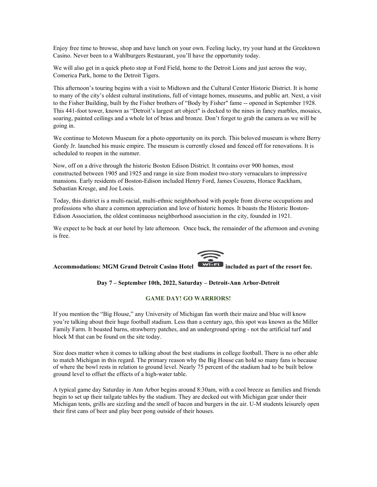Enjoy free time to browse, shop and have lunch on your own. Feeling lucky, try your hand at the Greektown Casino. Never been to a Wahlburgers Restaurant, you'll have the opportunity today.

We will also get in a quick photo stop at Ford Field, home to the Detroit Lions and just across the way, Comerica Park, home to the Detroit Tigers.

This afternoon's touring begins with a visit to Midtown and the Cultural Center Historic District. It is home to many of the city's oldest cultural institutions, full of vintage homes, museums, and public art. Next, a visit to the Fisher Building, built by the Fisher brothers of "Body by Fisher" fame -- opened in September 1928. This 441-foot tower, known as "Detroit's largest art object" is decked to the nines in fancy marbles, mosaics, soaring, painted ceilings and a whole lot of brass and bronze. Don't forget to grab the camera as we will be going in.

We continue to Motown Museum for a photo opportunity on its porch. This beloved museum is where Berry Gordy Jr. launched his music empire. The museum is currently closed and fenced off for renovations. It is scheduled to reopen in the summer.

Now, off on a drive through the historic Boston Edison District. It contains over 900 homes, most constructed between 1905 and 1925 and range in size from modest two-story vernaculars to impressive mansions. Early residents of Boston-Edison included Henry Ford, James Couzens, Horace Rackham, Sebastian Kresge, and Joe Louis.

Today, this district is a multi-racial, multi-ethnic neighborhood with people from diverse occupations and professions who share a common appreciation and love of historic homes. It boasts the Historic Boston-Edison Association, the oldest continuous neighborhood association in the city, founded in 1921.

We expect to be back at our hotel by late afternoon. Once back, the remainder of the afternoon and evening is free.



### Accommodations: MGM Grand Detroit Casino Hotel **WIFEL IDED** included as part of the resort fee.

### Day 7 – September 10th, 2022, Saturday – Detroit-Ann Arbor-Detroit

### GAME DAY! GO WARRIORS!

If you mention the "Big House," any University of Michigan fan worth their maize and blue will know you're talking about their huge football stadium. Less than a century ago, this spot was known as the Miller Family Farm. It boasted barns, strawberry patches, and an underground spring - not the artificial turf and block M that can be found on the site today.

Size does matter when it comes to talking about the best stadiums in college football. There is no other able to match Michigan in this regard. The primary reason why the Big House can hold so many fans is because of where the bowl rests in relation to ground level. Nearly 75 percent of the stadium had to be built below ground level to offset the effects of a high-water table.

A typical game day Saturday in Ann Arbor begins around 8:30am, with a cool breeze as families and friends begin to set up their tailgate tables by the stadium. They are decked out with Michigan gear under their Michigan tents, grills are sizzling and the smell of bacon and burgers in the air. U-M students leisurely open their first cans of beer and play beer pong outside of their houses.